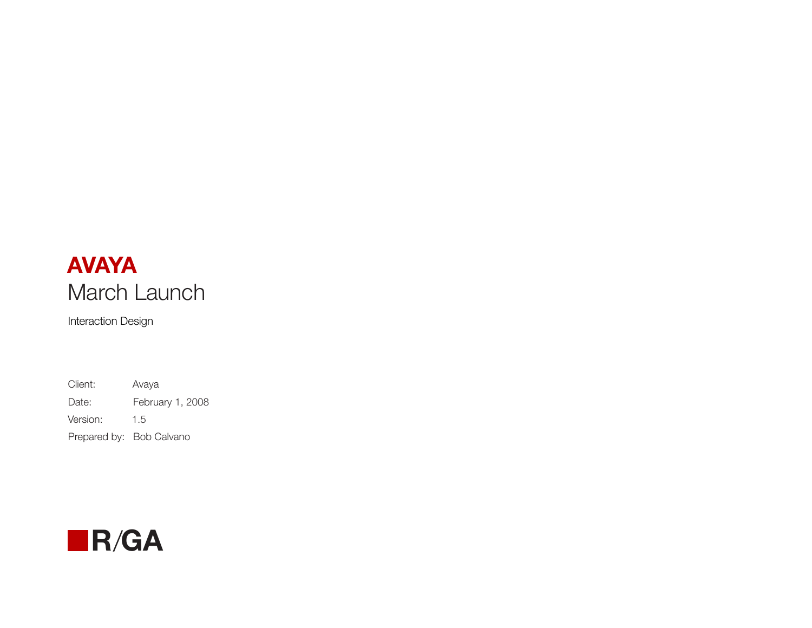## **AVAYA** March Launch

Interaction Design

Avaya February 1, 2008 1.5 Prepared by: Bob Calvano Client: Date: Version:

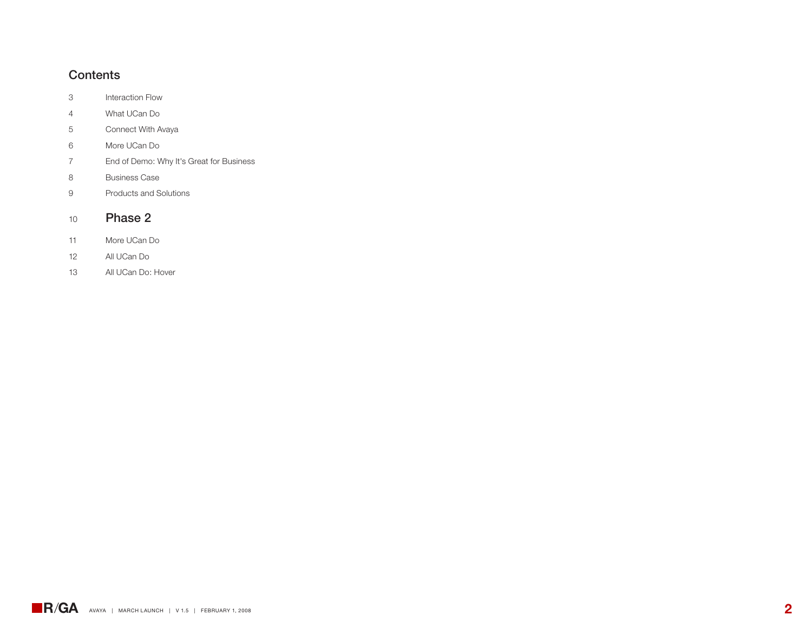#### **Contents**

- Interaction Flow
- What UCan Do
- Connect With Avaya
- More UCan Do
- End of Demo: Why It's Great for Business
- Business Case
- Products and Solutions

#### Phase 2

- More UCan Do
- All UCan Do
- All UCan Do: Hover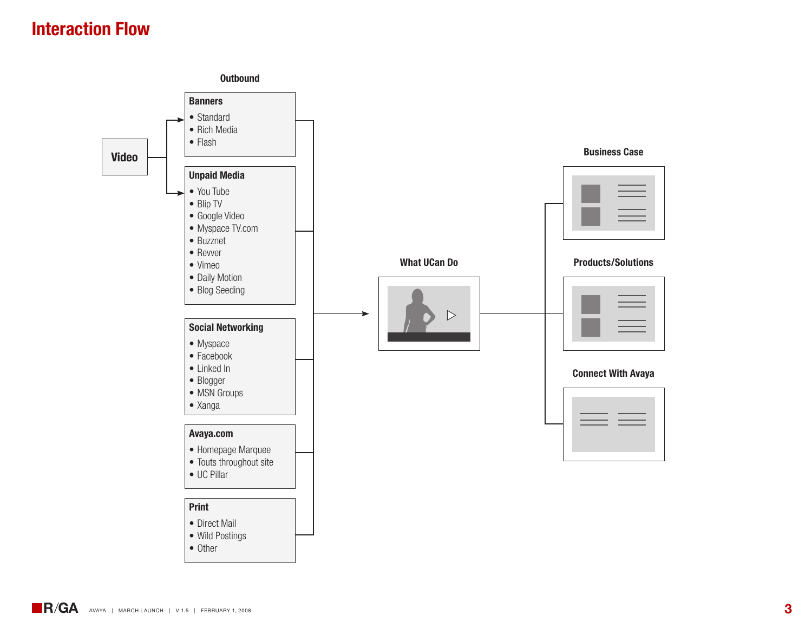#### **Interaction Flow**

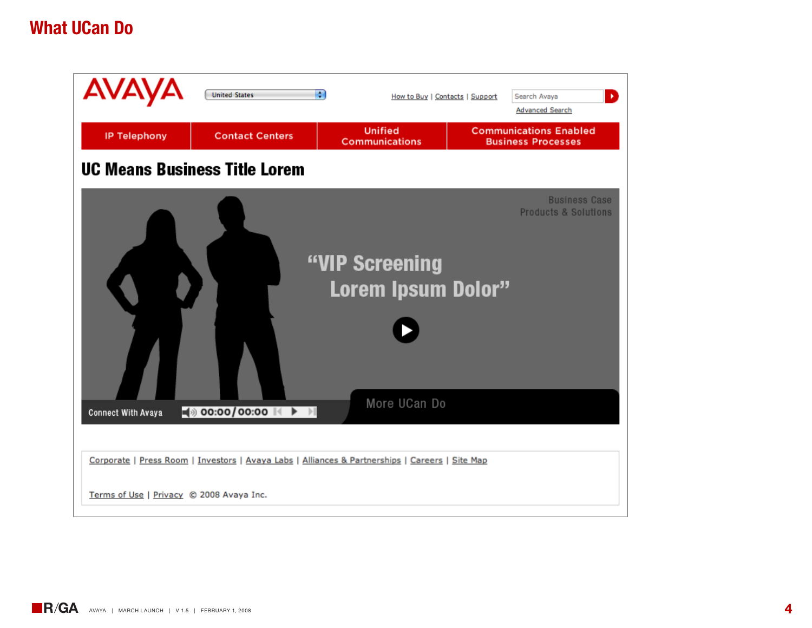### **What UCan Do**

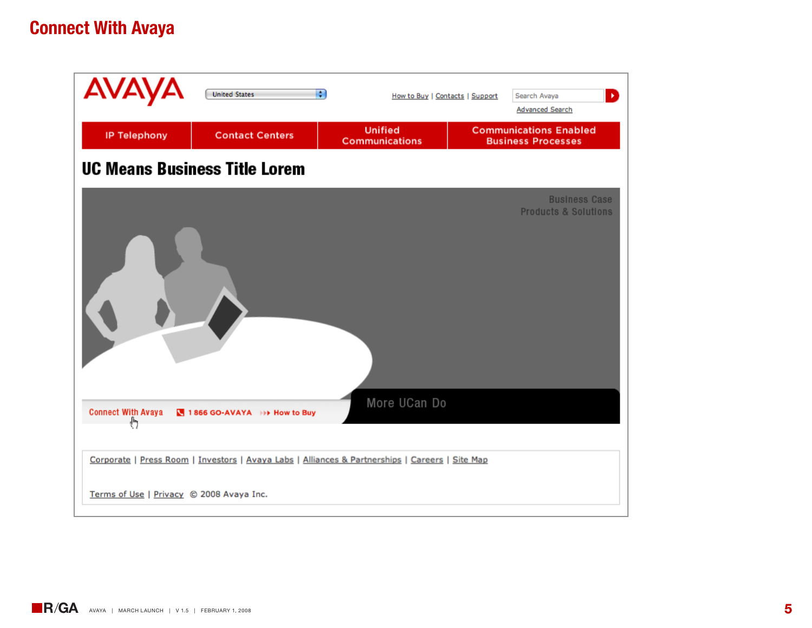### **Connect With Avaya**

| <b>AVAYA</b>                             | $\left  \cdot \right $<br><b>United States</b>                                                  | How to Buy   Contacts   Support         | ¥<br>Search Avaya<br><b>Advanced Search</b>                |
|------------------------------------------|-------------------------------------------------------------------------------------------------|-----------------------------------------|------------------------------------------------------------|
| <b>IP Telephony</b>                      | <b>Contact Centers</b>                                                                          | <b>Unified</b><br><b>Communications</b> | <b>Communications Enabled</b><br><b>Business Processes</b> |
| <b>UC Means Business Title Lorem</b>     |                                                                                                 |                                         |                                                            |
| <b>Connect With Avaya</b><br>ᢢ           | 1866 GO-AVAYA >>> How to Buy                                                                    | More UCan Do                            | <b>Business Case</b><br>Products & Solutions               |
|                                          | Corporate   Press Room   Investors   Avaya Labs   Alliances & Partnerships   Careers   Site Map |                                         |                                                            |
| Terms of Use   Privacy © 2008 Avaya Inc. |                                                                                                 |                                         |                                                            |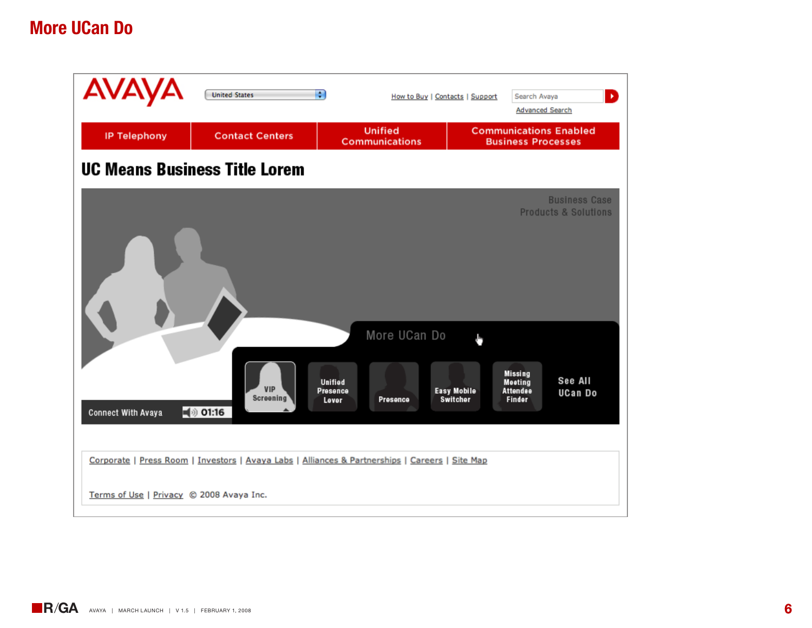### **More UCan Do**

| <b>AVAYA</b>                             | $\div$<br><b>United States</b>       | How to Buy   Contacts   Support                                                                   | Search Avaya<br><b>Advanced Search</b>                               | D.                                                                        |
|------------------------------------------|--------------------------------------|---------------------------------------------------------------------------------------------------|----------------------------------------------------------------------|---------------------------------------------------------------------------|
| <b>IP Telephony</b>                      | <b>Contact Centers</b>               | <b>Unified</b><br><b>Communications</b>                                                           | <b>Communications Enabled</b><br><b>Business Processes</b>           |                                                                           |
| <b>UC Means Business Title Lorem</b>     |                                      |                                                                                                   |                                                                      |                                                                           |
| Connect With Avaya                       | <b>VIP</b><br>Screening<br>(1) 01:16 | More UCan Do<br><b>Unified</b><br><b>Easy Mobile</b><br>Presence<br>Switcher<br>Presence<br>Lever | <b>Missing</b><br><b>Meeting</b><br><b>Attendee</b><br><b>Finder</b> | <b>Business Case</b><br>Products & Solutions<br>See All<br><b>UCan Do</b> |
|                                          |                                      | Corporate   Press Room   Investors   Avaya Labs   Alliances & Partnerships   Careers   Site Map   |                                                                      |                                                                           |
| Terms of Use   Privacy © 2008 Avaya Inc. |                                      |                                                                                                   |                                                                      |                                                                           |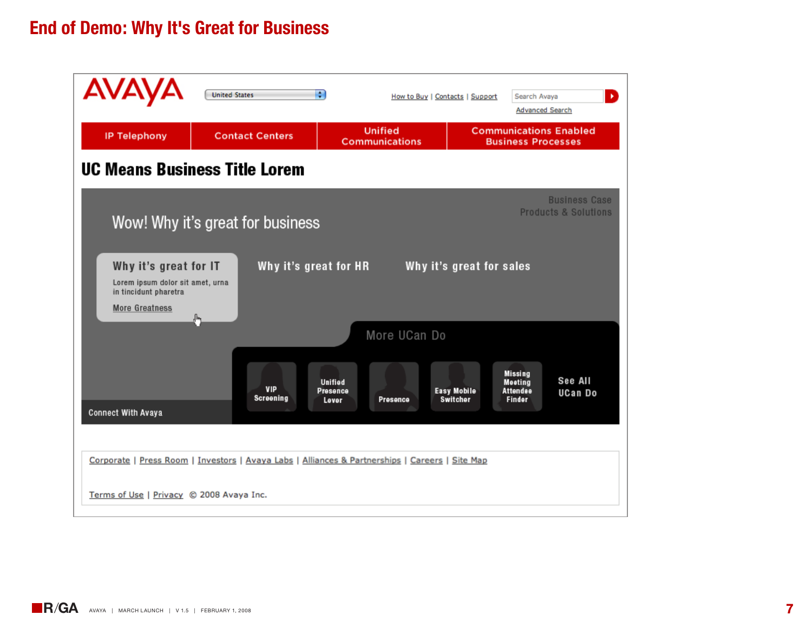#### **End of Demo: Why It's Great for Business**

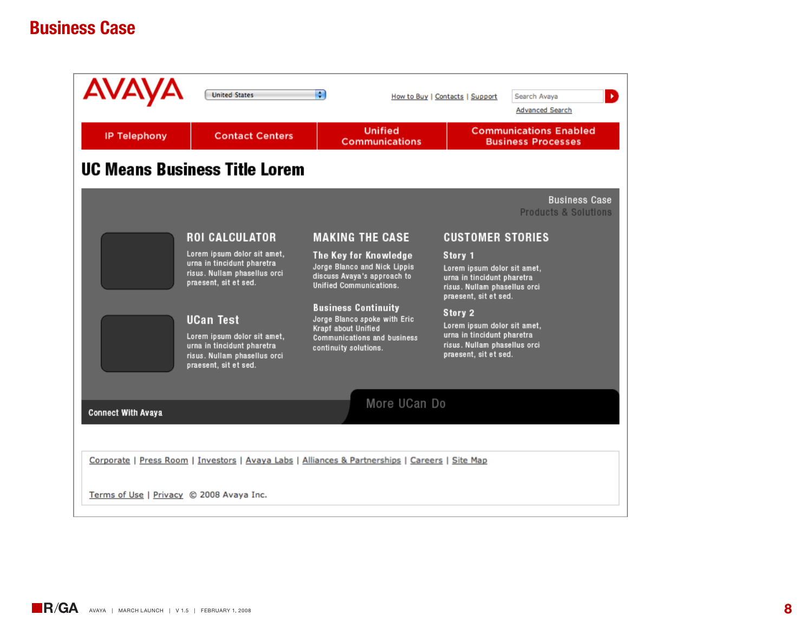#### **Business Case**

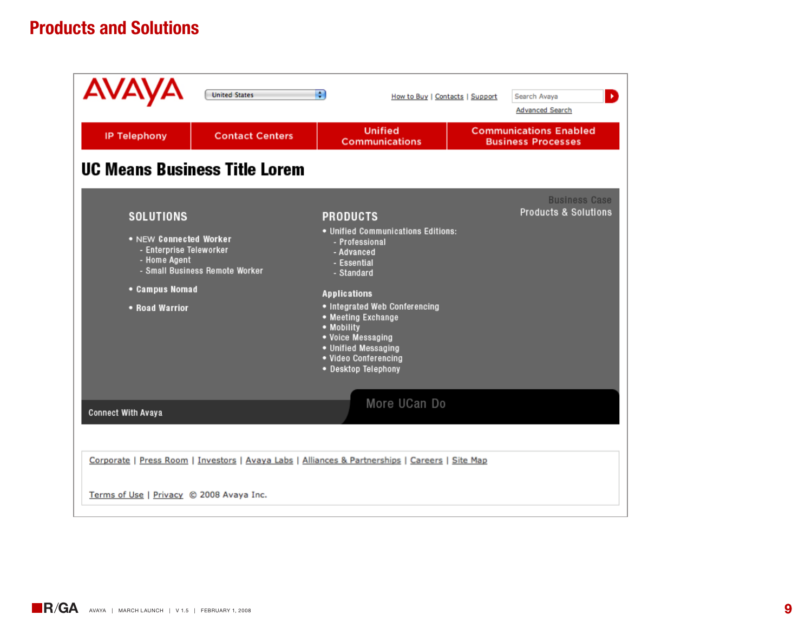#### **Products and Solutions**

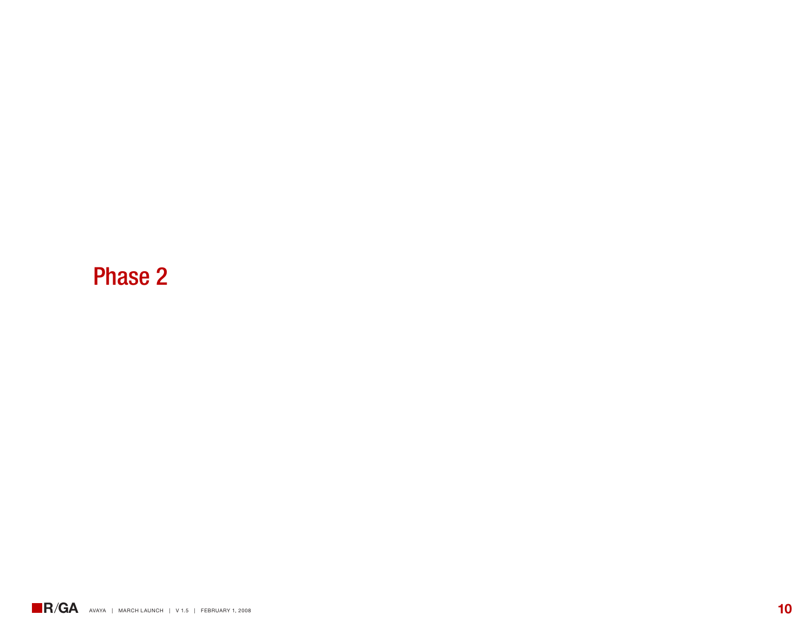# Phase 2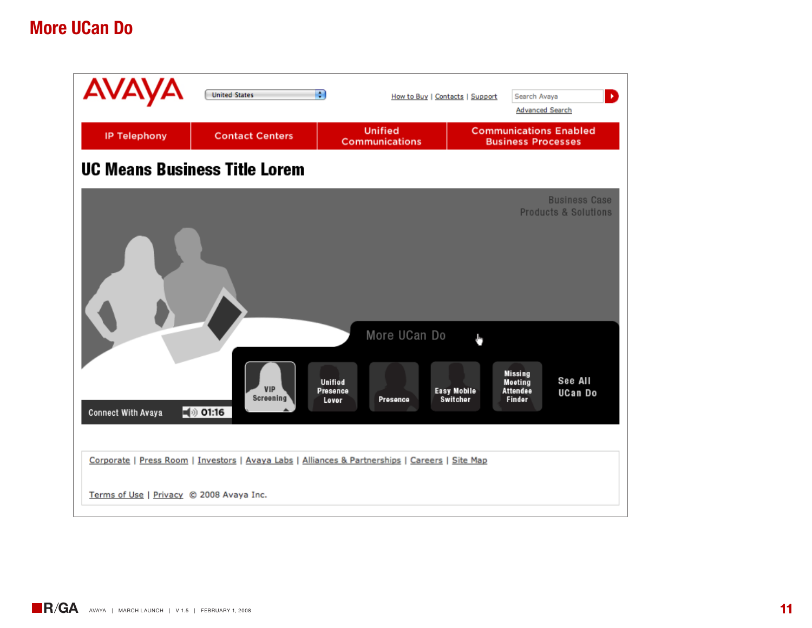### **More UCan Do**

| <b>AVAYA</b>                             | $\div$<br><b>United States</b>                                     | How to Buy   Contacts   Support                                                                 | D.<br>Search Avaya<br><b>Advanced Search</b>                                                |
|------------------------------------------|--------------------------------------------------------------------|-------------------------------------------------------------------------------------------------|---------------------------------------------------------------------------------------------|
| <b>IP Telephony</b>                      | <b>Contact Centers</b>                                             | <b>Unified</b><br><b>Communications</b>                                                         | <b>Communications Enabled</b><br><b>Business Processes</b>                                  |
| <b>UC Means Business Title Lorem</b>     |                                                                    |                                                                                                 |                                                                                             |
|                                          |                                                                    | More UCan Do<br><b>Unified</b>                                                                  | <b>Business Case</b><br>Products & Solutions<br><b>Missing</b><br>See All<br><b>Meeting</b> |
| Connect With Avaya                       | <b>VIP</b><br>Screening<br>$\blacktriangleleft$ <sup>2</sup> O1:16 | <b>Easy Mobile</b><br>Presence<br>Switcher<br>Presence<br>Lever                                 | <b>Attendee</b><br>UCan Do<br>Finder                                                        |
|                                          |                                                                    | Corporate   Press Room   Investors   Avaya Labs   Alliances & Partnerships   Careers   Site Map |                                                                                             |
| Terms of Use   Privacy © 2008 Avaya Inc. |                                                                    |                                                                                                 |                                                                                             |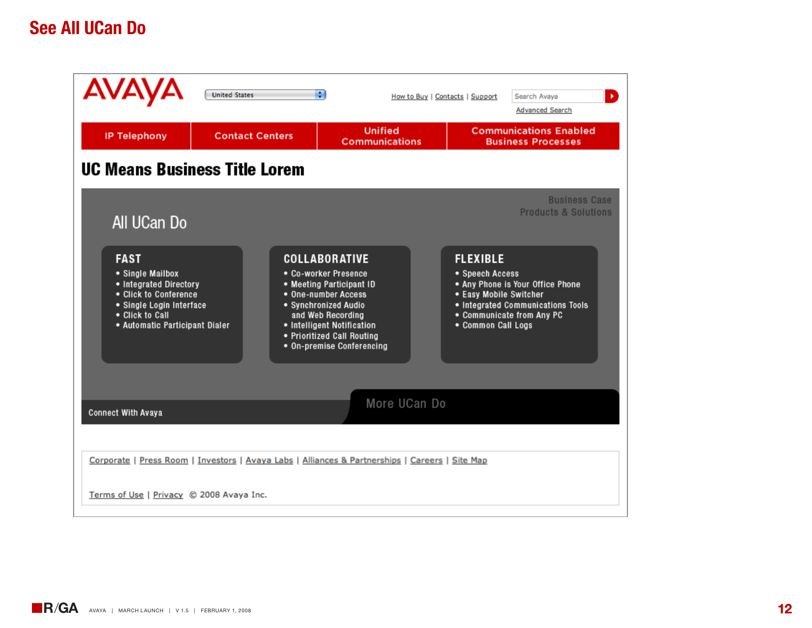### **See All UCan Do**